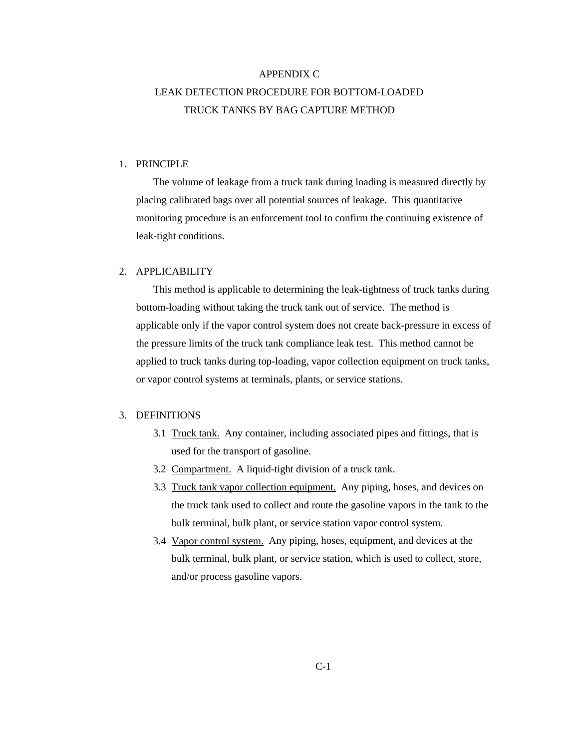# APPENDIX C LEAK DETECTION PROCEDURE FOR BOTTOM-LOADED TRUCK TANKS BY BAG CAPTURE METHOD

## 1. PRINCIPLE

The volume of leakage from a truck tank during loading is measured directly by placing calibrated bags over all potential sources of leakage. This quantitative monitoring procedure is an enforcement tool to confirm the continuing existence of leak-tight conditions.

### 2. APPLICABILITY

 This method is applicable to determining the leak-tightness of truck tanks during bottom-loading without taking the truck tank out of service. The method is applicable only if the vapor control system does not create back-pressure in excess of the pressure limits of the truck tank compliance leak test. This method cannot be applied to truck tanks during top-loading, vapor collection equipment on truck tanks, or vapor control systems at terminals, plants, or service stations.

#### 3. DEFINITIONS

- 3.1 Truck tank. Any container, including associated pipes and fittings, that is used for the transport of gasoline.
- 3.2 Compartment. A liquid-tight division of a truck tank.
- 3.3 Truck tank vapor collection equipment. Any piping, hoses, and devices on the truck tank used to collect and route the gasoline vapors in the tank to the bulk terminal, bulk plant, or service station vapor control system.
- 3.4 Vapor control system. Any piping, hoses, equipment, and devices at the bulk terminal, bulk plant, or service station, which is used to collect, store, and/or process gasoline vapors.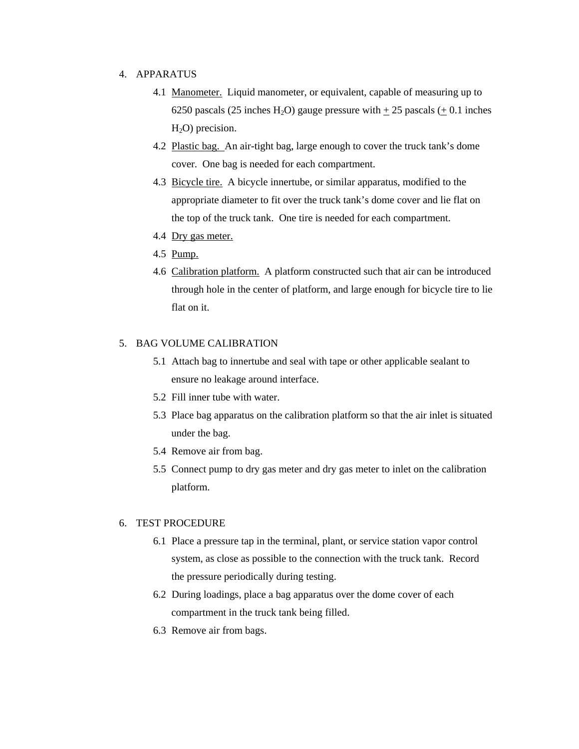# 4. APPARATUS

- 4.1 Manometer. Liquid manometer, or equivalent, capable of measuring up to 6250 pascals (25 inches H<sub>2</sub>O) gauge pressure with  $\pm$  25 pascals ( $\pm$  0.1 inches  $H<sub>2</sub>O$ ) precision.
- 4.2 Plastic bag. An air-tight bag, large enough to cover the truck tank's dome cover. One bag is needed for each compartment.
- 4.3 Bicycle tire. A bicycle innertube, or similar apparatus, modified to the appropriate diameter to fit over the truck tank's dome cover and lie flat on the top of the truck tank. One tire is needed for each compartment.
- 4.4 Dry gas meter.
- 4.5 Pump.
- 4.6 Calibration platform. A platform constructed such that air can be introduced through hole in the center of platform, and large enough for bicycle tire to lie flat on it.

# 5. BAG VOLUME CALIBRATION

- 5.1 Attach bag to innertube and seal with tape or other applicable sealant to ensure no leakage around interface.
- 5.2 Fill inner tube with water.
- 5.3 Place bag apparatus on the calibration platform so that the air inlet is situated under the bag.
- 5.4 Remove air from bag.
- 5.5 Connect pump to dry gas meter and dry gas meter to inlet on the calibration platform.

## 6. TEST PROCEDURE

- 6.1 Place a pressure tap in the terminal, plant, or service station vapor control system, as close as possible to the connection with the truck tank. Record the pressure periodically during testing.
- 6.2 During loadings, place a bag apparatus over the dome cover of each compartment in the truck tank being filled.
- 6.3 Remove air from bags.